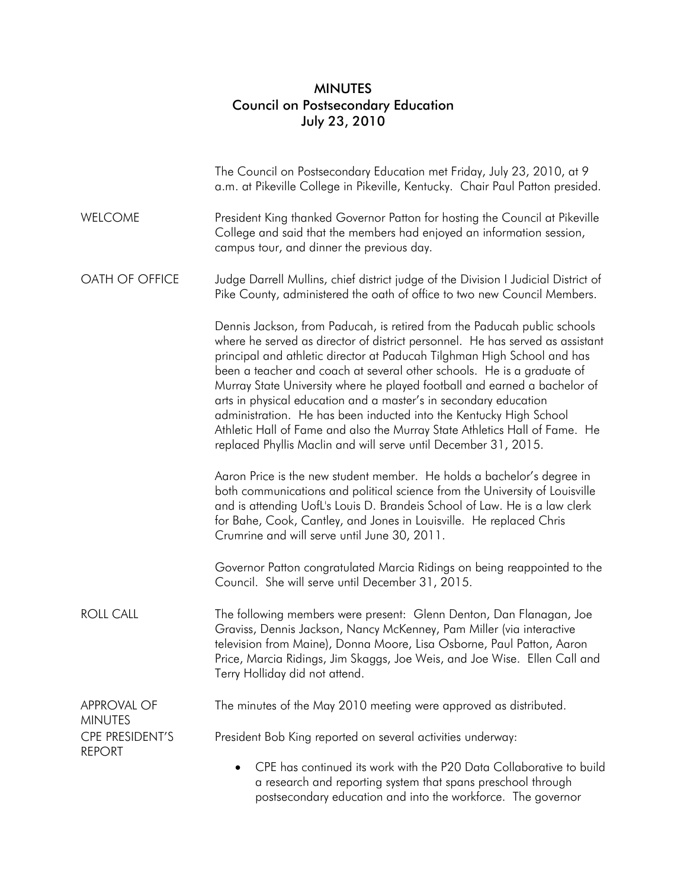## MINUTES Council on Postsecondary Education July 23, 2010

|                                  | The Council on Postsecondary Education met Friday, July 23, 2010, at 9<br>a.m. at Pikeville College in Pikeville, Kentucky. Chair Paul Patton presided.                                                                                                                                                                                                                                                                                                                                                                                                                                                                                                                                |
|----------------------------------|----------------------------------------------------------------------------------------------------------------------------------------------------------------------------------------------------------------------------------------------------------------------------------------------------------------------------------------------------------------------------------------------------------------------------------------------------------------------------------------------------------------------------------------------------------------------------------------------------------------------------------------------------------------------------------------|
| <b>WELCOME</b>                   | President King thanked Governor Patton for hosting the Council at Pikeville<br>College and said that the members had enjoyed an information session,<br>campus tour, and dinner the previous day.                                                                                                                                                                                                                                                                                                                                                                                                                                                                                      |
| OATH OF OFFICE                   | Judge Darrell Mullins, chief district judge of the Division I Judicial District of<br>Pike County, administered the oath of office to two new Council Members.                                                                                                                                                                                                                                                                                                                                                                                                                                                                                                                         |
|                                  | Dennis Jackson, from Paducah, is retired from the Paducah public schools<br>where he served as director of district personnel. He has served as assistant<br>principal and athletic director at Paducah Tilghman High School and has<br>been a teacher and coach at several other schools. He is a graduate of<br>Murray State University where he played football and earned a bachelor of<br>arts in physical education and a master's in secondary education<br>administration. He has been inducted into the Kentucky High School<br>Athletic Hall of Fame and also the Murray State Athletics Hall of Fame. He<br>replaced Phyllis Maclin and will serve until December 31, 2015. |
|                                  | Aaron Price is the new student member. He holds a bachelor's degree in<br>both communications and political science from the University of Louisville<br>and is attending UofL's Louis D. Brandeis School of Law. He is a law clerk<br>for Bahe, Cook, Cantley, and Jones in Louisville. He replaced Chris<br>Crumrine and will serve until June 30, 2011.                                                                                                                                                                                                                                                                                                                             |
|                                  | Governor Patton congratulated Marcia Ridings on being reappointed to the<br>Council. She will serve until December 31, 2015.                                                                                                                                                                                                                                                                                                                                                                                                                                                                                                                                                           |
| <b>ROLL CALL</b>                 | The following members were present: Glenn Denton, Dan Flanagan, Joe<br>Graviss, Dennis Jackson, Nancy McKenney, Pam Miller (via interactive<br>television from Maine), Donna Moore, Lisa Osborne, Paul Patton, Aaron<br>Price, Marcia Ridings, Jim Skaggs, Joe Weis, and Joe Wise. Ellen Call and<br>Terry Holliday did not attend.                                                                                                                                                                                                                                                                                                                                                    |
| APPROVAL OF<br><b>MINUTES</b>    | The minutes of the May 2010 meeting were approved as distributed.                                                                                                                                                                                                                                                                                                                                                                                                                                                                                                                                                                                                                      |
| CPE PRESIDENT'S<br><b>REPORT</b> | President Bob King reported on several activities underway:                                                                                                                                                                                                                                                                                                                                                                                                                                                                                                                                                                                                                            |
|                                  | CPE has continued its work with the P20 Data Collaborative to build<br>$\bullet$<br>a research and reporting system that spans preschool through<br>postsecondary education and into the workforce. The governor                                                                                                                                                                                                                                                                                                                                                                                                                                                                       |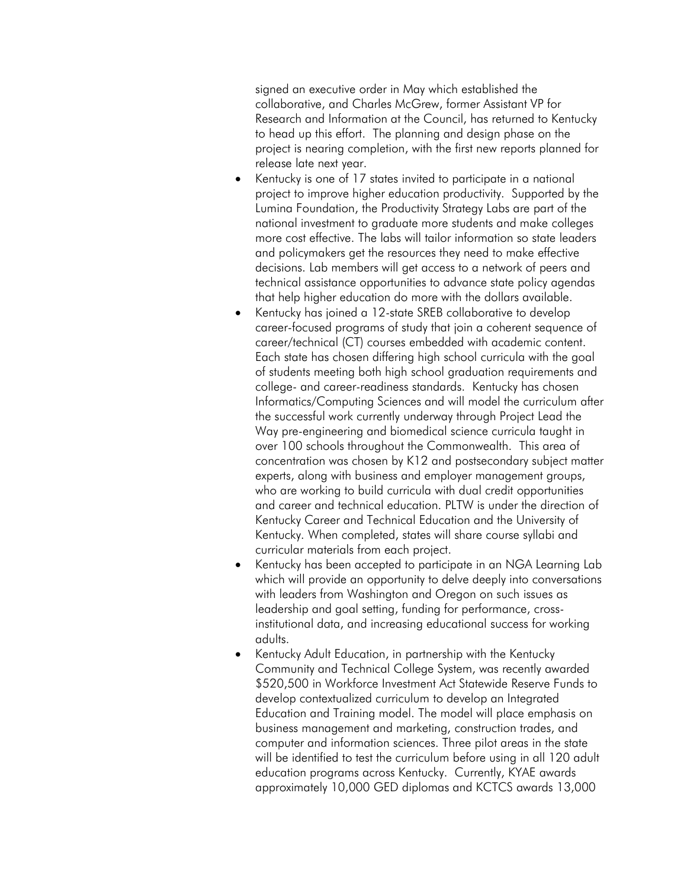signed an executive order in May which established the collaborative, and Charles McGrew, former Assistant VP for Research and Information at the Council, has returned to Kentucky to head up this effort. The planning and design phase on the project is nearing completion, with the first new reports planned for release late next year.

- Kentucky is one of 17 states invited to participate in a national project to improve higher education productivity. Supported by the Lumina Foundation, the Productivity Strategy Labs are part of the national investment to graduate more students and make colleges more cost effective. The labs will tailor information so state leaders and policymakers get the resources they need to make effective decisions. Lab members will get access to a network of peers and technical assistance opportunities to advance state policy agendas that help higher education do more with the dollars available.
- Kentucky has joined a 12-state SREB collaborative to develop career-focused programs of study that join a coherent sequence of career/technical (CT) courses embedded with academic content. Each state has chosen differing high school curricula with the goal of students meeting both high school graduation requirements and college- and career-readiness standards. Kentucky has chosen Informatics/Computing Sciences and will model the curriculum after the successful work currently underway through Project Lead the Way pre-engineering and biomedical science curricula taught in over 100 schools throughout the Commonwealth. This area of concentration was chosen by K12 and postsecondary subject matter experts, along with business and employer management groups, who are working to build curricula with dual credit opportunities and career and technical education. PLTW is under the direction of Kentucky Career and Technical Education and the University of Kentucky. When completed, states will share course syllabi and curricular materials from each project.
- Kentucky has been accepted to participate in an NGA Learning Lab which will provide an opportunity to delve deeply into conversations with leaders from Washington and Oregon on such issues as leadership and goal setting, funding for performance, crossinstitutional data, and increasing educational success for working adults.
- Kentucky Adult Education, in partnership with the Kentucky Community and Technical College System, was recently awarded \$520,500 in Workforce Investment Act Statewide Reserve Funds to develop contextualized curriculum to develop an Integrated Education and Training model. The model will place emphasis on business management and marketing, construction trades, and computer and information sciences. Three pilot areas in the state will be identified to test the curriculum before using in all 120 adult education programs across Kentucky. Currently, KYAE awards approximately 10,000 GED diplomas and KCTCS awards 13,000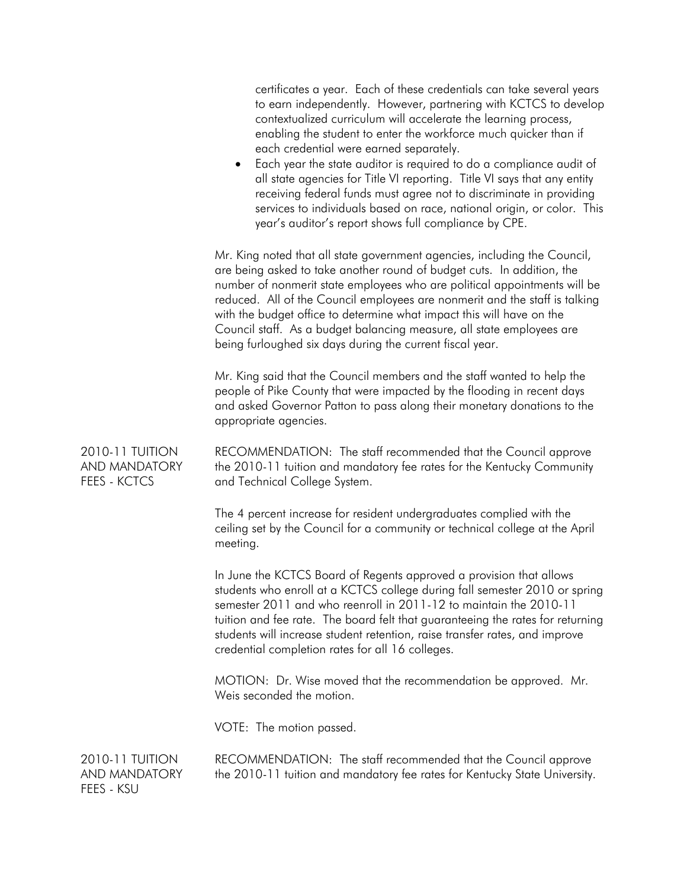|                                                  | certificates a year. Each of these credentials can take several years<br>to earn independently. However, partnering with KCTCS to develop<br>contextualized curriculum will accelerate the learning process,<br>enabling the student to enter the workforce much quicker than if<br>each credential were earned separately.<br>Each year the state auditor is required to do a compliance audit of<br>٠<br>all state agencies for Title VI reporting. Title VI says that any entity<br>receiving federal funds must agree not to discriminate in providing<br>services to individuals based on race, national origin, or color. This<br>year's auditor's report shows full compliance by CPE. |
|--------------------------------------------------|-----------------------------------------------------------------------------------------------------------------------------------------------------------------------------------------------------------------------------------------------------------------------------------------------------------------------------------------------------------------------------------------------------------------------------------------------------------------------------------------------------------------------------------------------------------------------------------------------------------------------------------------------------------------------------------------------|
|                                                  | Mr. King noted that all state government agencies, including the Council,<br>are being asked to take another round of budget cuts. In addition, the<br>number of nonmerit state employees who are political appointments will be<br>reduced. All of the Council employees are nonmerit and the staff is talking<br>with the budget office to determine what impact this will have on the<br>Council staff. As a budget balancing measure, all state employees are<br>being furloughed six days during the current fiscal year.                                                                                                                                                                |
|                                                  | Mr. King said that the Council members and the staff wanted to help the<br>people of Pike County that were impacted by the flooding in recent days<br>and asked Governor Patton to pass along their monetary donations to the<br>appropriate agencies.                                                                                                                                                                                                                                                                                                                                                                                                                                        |
| 2010-11 TUITION<br>AND MANDATORY<br>FEES - KCTCS | RECOMMENDATION: The staff recommended that the Council approve<br>the 2010-11 tuition and mandatory fee rates for the Kentucky Community<br>and Technical College System.                                                                                                                                                                                                                                                                                                                                                                                                                                                                                                                     |
|                                                  | The 4 percent increase for resident undergraduates complied with the<br>ceiling set by the Council for a community or technical college at the April<br>meeting.                                                                                                                                                                                                                                                                                                                                                                                                                                                                                                                              |
|                                                  | In June the KCTCS Board of Regents approved a provision that allows<br>students who enroll at a KCTCS college during fall semester 2010 or spring<br>semester 2011 and who reenroll in 2011-12 to maintain the 2010-11<br>tuition and fee rate. The board felt that guaranteeing the rates for returning<br>students will increase student retention, raise transfer rates, and improve<br>credential completion rates for all 16 colleges.                                                                                                                                                                                                                                                   |
|                                                  | MOTION: Dr. Wise moved that the recommendation be approved. Mr.<br>Weis seconded the motion.                                                                                                                                                                                                                                                                                                                                                                                                                                                                                                                                                                                                  |
|                                                  | VOTE: The motion passed.                                                                                                                                                                                                                                                                                                                                                                                                                                                                                                                                                                                                                                                                      |
| 2010-11 TUITION<br>AND MANDATORY<br>FEES - KSU   | RECOMMENDATION: The staff recommended that the Council approve<br>the 2010-11 tuition and mandatory fee rates for Kentucky State University.                                                                                                                                                                                                                                                                                                                                                                                                                                                                                                                                                  |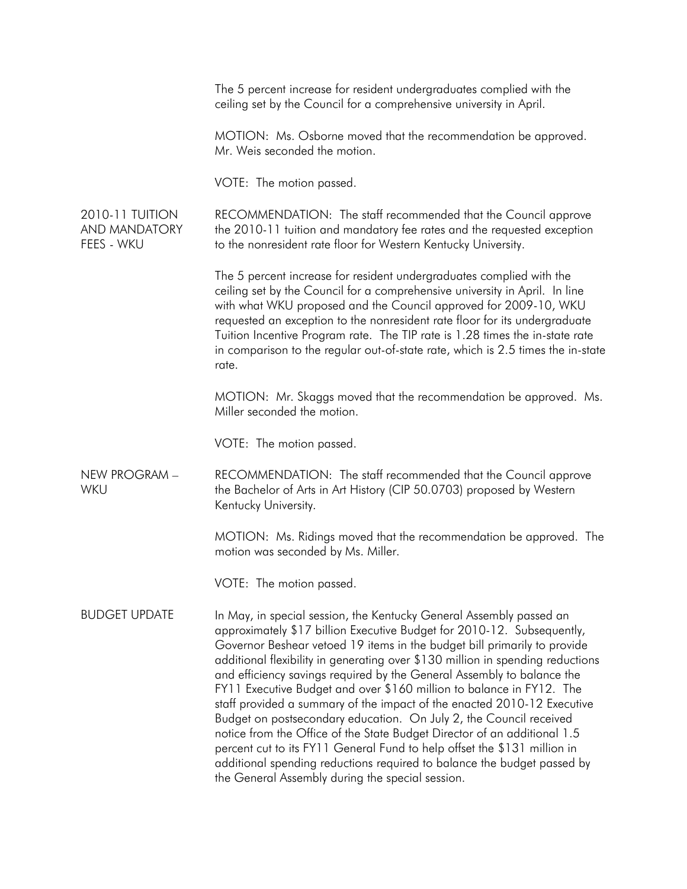|                                                       | The 5 percent increase for resident undergraduates complied with the<br>ceiling set by the Council for a comprehensive university in April.                                                                                                                                                                                                                                                                                                                                                                                                                                                                                                                                                                                                                                                                                                                                                           |
|-------------------------------------------------------|-------------------------------------------------------------------------------------------------------------------------------------------------------------------------------------------------------------------------------------------------------------------------------------------------------------------------------------------------------------------------------------------------------------------------------------------------------------------------------------------------------------------------------------------------------------------------------------------------------------------------------------------------------------------------------------------------------------------------------------------------------------------------------------------------------------------------------------------------------------------------------------------------------|
|                                                       | MOTION: Ms. Osborne moved that the recommendation be approved.<br>Mr. Weis seconded the motion.                                                                                                                                                                                                                                                                                                                                                                                                                                                                                                                                                                                                                                                                                                                                                                                                       |
|                                                       | VOTE: The motion passed.                                                                                                                                                                                                                                                                                                                                                                                                                                                                                                                                                                                                                                                                                                                                                                                                                                                                              |
| <b>2010-11 TUITION</b><br>AND MANDATORY<br>FEES - WKU | RECOMMENDATION: The staff recommended that the Council approve<br>the 2010-11 tuition and mandatory fee rates and the requested exception<br>to the nonresident rate floor for Western Kentucky University.                                                                                                                                                                                                                                                                                                                                                                                                                                                                                                                                                                                                                                                                                           |
|                                                       | The 5 percent increase for resident undergraduates complied with the<br>ceiling set by the Council for a comprehensive university in April. In line<br>with what WKU proposed and the Council approved for 2009-10, WKU<br>requested an exception to the nonresident rate floor for its undergraduate<br>Tuition Incentive Program rate. The TIP rate is 1.28 times the in-state rate<br>in comparison to the regular out-of-state rate, which is 2.5 times the in-state<br>rate.                                                                                                                                                                                                                                                                                                                                                                                                                     |
|                                                       | MOTION: Mr. Skaggs moved that the recommendation be approved. Ms.<br>Miller seconded the motion.                                                                                                                                                                                                                                                                                                                                                                                                                                                                                                                                                                                                                                                                                                                                                                                                      |
|                                                       | VOTE: The motion passed.                                                                                                                                                                                                                                                                                                                                                                                                                                                                                                                                                                                                                                                                                                                                                                                                                                                                              |
| NEW PROGRAM -<br>WKU                                  | RECOMMENDATION: The staff recommended that the Council approve<br>the Bachelor of Arts in Art History (CIP 50.0703) proposed by Western<br>Kentucky University.                                                                                                                                                                                                                                                                                                                                                                                                                                                                                                                                                                                                                                                                                                                                       |
|                                                       | MOTION: Ms. Ridings moved that the recommendation be approved. The<br>motion was seconded by Ms. Miller.                                                                                                                                                                                                                                                                                                                                                                                                                                                                                                                                                                                                                                                                                                                                                                                              |
|                                                       | VOTE: The motion passed.                                                                                                                                                                                                                                                                                                                                                                                                                                                                                                                                                                                                                                                                                                                                                                                                                                                                              |
| <b>BUDGET UPDATE</b>                                  | In May, in special session, the Kentucky General Assembly passed an<br>approximately \$17 billion Executive Budget for 2010-12. Subsequently,<br>Governor Beshear vetoed 19 items in the budget bill primarily to provide<br>additional flexibility in generating over \$130 million in spending reductions<br>and efficiency savings required by the General Assembly to balance the<br>FY11 Executive Budget and over \$160 million to balance in FY12. The<br>staff provided a summary of the impact of the enacted 2010-12 Executive<br>Budget on postsecondary education. On July 2, the Council received<br>notice from the Office of the State Budget Director of an additional 1.5<br>percent cut to its FY11 General Fund to help offset the \$131 million in<br>additional spending reductions required to balance the budget passed by<br>the General Assembly during the special session. |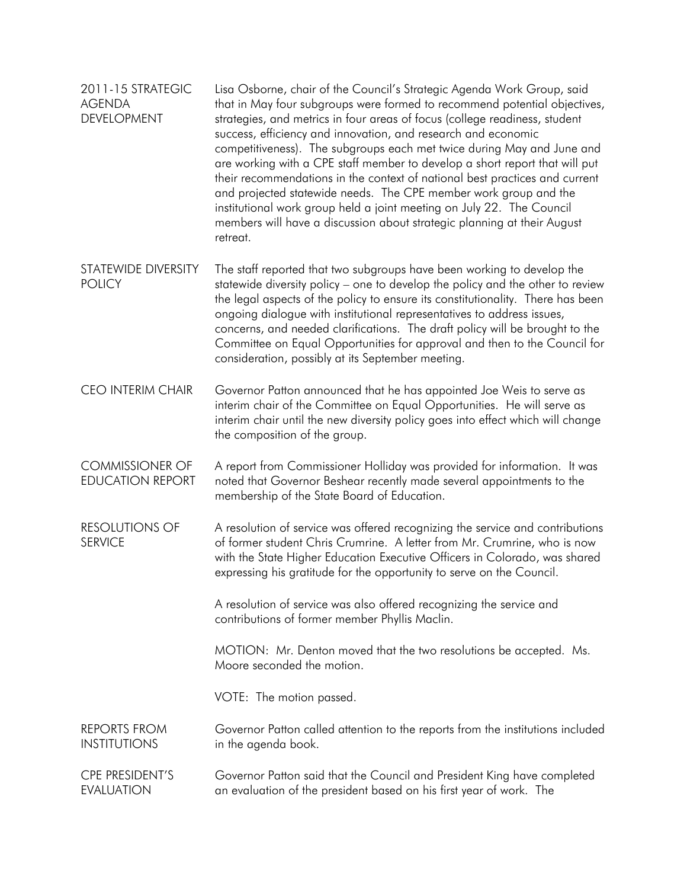| 2011-15 STRATEGIC<br><b>AGENDA</b><br><b>DEVELOPMENT</b> | Lisa Osborne, chair of the Council's Strategic Agenda Work Group, said<br>that in May four subgroups were formed to recommend potential objectives,<br>strategies, and metrics in four areas of focus (college readiness, student<br>success, efficiency and innovation, and research and economic<br>competitiveness). The subgroups each met twice during May and June and<br>are working with a CPE staff member to develop a short report that will put<br>their recommendations in the context of national best practices and current<br>and projected statewide needs. The CPE member work group and the<br>institutional work group held a joint meeting on July 22. The Council<br>members will have a discussion about strategic planning at their August<br>retreat. |
|----------------------------------------------------------|--------------------------------------------------------------------------------------------------------------------------------------------------------------------------------------------------------------------------------------------------------------------------------------------------------------------------------------------------------------------------------------------------------------------------------------------------------------------------------------------------------------------------------------------------------------------------------------------------------------------------------------------------------------------------------------------------------------------------------------------------------------------------------|
| STATEWIDE DIVERSITY<br><b>POLICY</b>                     | The staff reported that two subgroups have been working to develop the<br>statewide diversity policy – one to develop the policy and the other to review<br>the legal aspects of the policy to ensure its constitutionality. There has been<br>ongoing dialogue with institutional representatives to address issues,<br>concerns, and needed clarifications. The draft policy will be brought to the<br>Committee on Equal Opportunities for approval and then to the Council for<br>consideration, possibly at its September meeting.                                                                                                                                                                                                                                        |
| <b>CEO INTERIM CHAIR</b>                                 | Governor Patton announced that he has appointed Joe Weis to serve as<br>interim chair of the Committee on Equal Opportunities. He will serve as<br>interim chair until the new diversity policy goes into effect which will change<br>the composition of the group.                                                                                                                                                                                                                                                                                                                                                                                                                                                                                                            |
| <b>COMMISSIONER OF</b><br><b>EDUCATION REPORT</b>        | A report from Commissioner Holliday was provided for information. It was<br>noted that Governor Beshear recently made several appointments to the<br>membership of the State Board of Education.                                                                                                                                                                                                                                                                                                                                                                                                                                                                                                                                                                               |
| <b>RESOLUTIONS OF</b><br><b>SERVICE</b>                  | A resolution of service was offered recognizing the service and contributions<br>of former student Chris Crumrine. A letter from Mr. Crumrine, who is now<br>with the State Higher Education Executive Officers in Colorado, was shared<br>expressing his gratitude for the opportunity to serve on the Council.                                                                                                                                                                                                                                                                                                                                                                                                                                                               |
|                                                          | A resolution of service was also offered recognizing the service and<br>contributions of former member Phyllis Maclin.                                                                                                                                                                                                                                                                                                                                                                                                                                                                                                                                                                                                                                                         |
|                                                          | MOTION: Mr. Denton moved that the two resolutions be accepted. Ms.<br>Moore seconded the motion.                                                                                                                                                                                                                                                                                                                                                                                                                                                                                                                                                                                                                                                                               |
|                                                          | VOTE: The motion passed.                                                                                                                                                                                                                                                                                                                                                                                                                                                                                                                                                                                                                                                                                                                                                       |
| <b>REPORTS FROM</b><br><b>INSTITUTIONS</b>               | Governor Patton called attention to the reports from the institutions included<br>in the agenda book.                                                                                                                                                                                                                                                                                                                                                                                                                                                                                                                                                                                                                                                                          |
| <b>CPE PRESIDENT'S</b><br><b>EVALUATION</b>              | Governor Patton said that the Council and President King have completed<br>an evaluation of the president based on his first year of work. The                                                                                                                                                                                                                                                                                                                                                                                                                                                                                                                                                                                                                                 |
|                                                          |                                                                                                                                                                                                                                                                                                                                                                                                                                                                                                                                                                                                                                                                                                                                                                                |